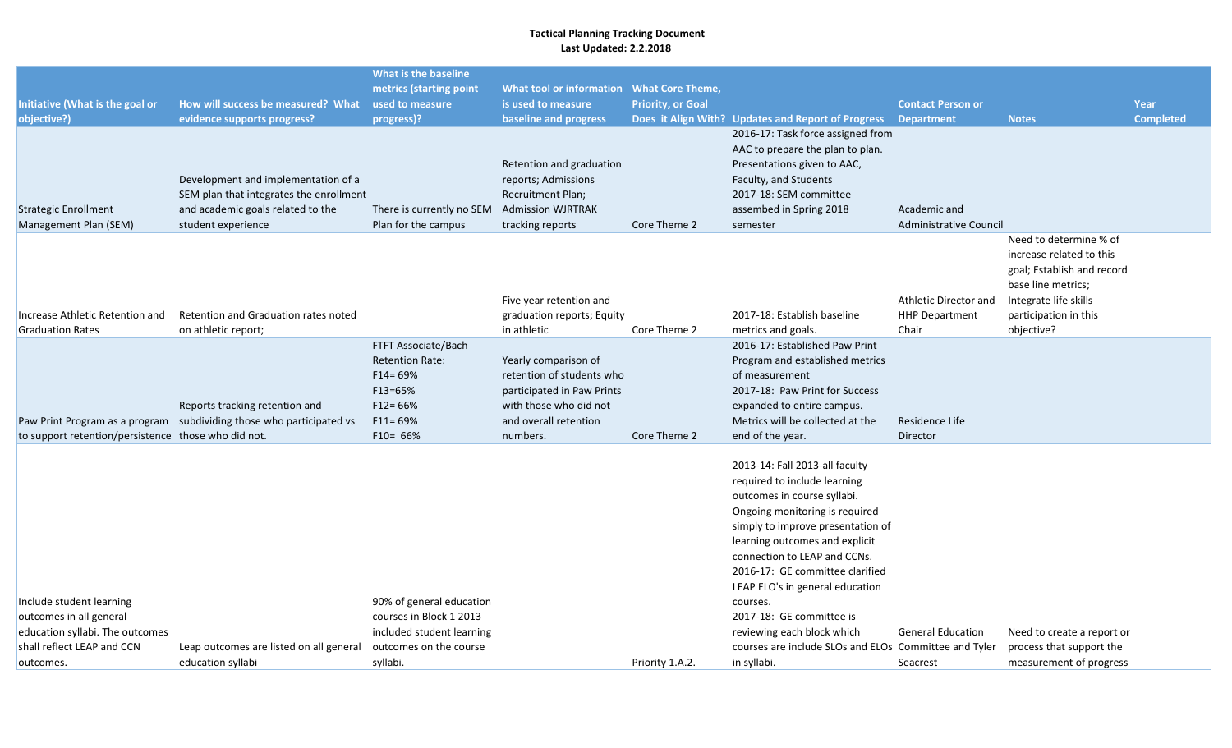| Initiative (What is the goal or<br>objective?)                                                        | How will success be measured? What<br>evidence supports progress?                                                                         | What is the baseline<br>metrics (starting point<br>used to measure<br>progress)?                                         | What tool or information What Core Theme,<br>is used to measure<br>baseline and progress                                                       | <b>Priority, or Goal</b> | Does it Align With? Updates and Report of Progress                                                                                                                                                                                                                                                                       | <b>Contact Person or</b><br><b>Department</b>           | <b>Notes</b>                                                                                                                                                           | Year<br><b>Completed</b> |
|-------------------------------------------------------------------------------------------------------|-------------------------------------------------------------------------------------------------------------------------------------------|--------------------------------------------------------------------------------------------------------------------------|------------------------------------------------------------------------------------------------------------------------------------------------|--------------------------|--------------------------------------------------------------------------------------------------------------------------------------------------------------------------------------------------------------------------------------------------------------------------------------------------------------------------|---------------------------------------------------------|------------------------------------------------------------------------------------------------------------------------------------------------------------------------|--------------------------|
| <b>Strategic Enrollment</b><br>Management Plan (SEM)                                                  | Development and implementation of a<br>SEM plan that integrates the enrollment<br>and academic goals related to the<br>student experience | There is currently no SEM<br>Plan for the campus                                                                         | Retention and graduation<br>reports; Admissions<br>Recruitment Plan;<br><b>Admission WJRTRAK</b><br>tracking reports                           | Core Theme 2             | 2016-17: Task force assigned from<br>AAC to prepare the plan to plan.<br>Presentations given to AAC,<br>Faculty, and Students<br>2017-18: SEM committee<br>assembed in Spring 2018<br>semester                                                                                                                           | Academic and<br>Administrative Council                  |                                                                                                                                                                        |                          |
| Increase Athletic Retention and<br><b>Graduation Rates</b>                                            | Retention and Graduation rates noted<br>on athletic report;                                                                               |                                                                                                                          | Five year retention and<br>graduation reports; Equity<br>in athletic                                                                           | Core Theme 2             | 2017-18: Establish baseline<br>metrics and goals.                                                                                                                                                                                                                                                                        | Athletic Director and<br><b>HHP Department</b><br>Chair | Need to determine % of<br>increase related to this<br>goal; Establish and record<br>base line metrics;<br>Integrate life skills<br>participation in this<br>objective? |                          |
| to support retention/persistence those who did not.                                                   | Reports tracking retention and<br>Paw Print Program as a program subdividing those who participated vs                                    | FTFT Associate/Bach<br><b>Retention Rate:</b><br>$F14 = 69%$<br>$F13 = 65%$<br>$F12 = 66%$<br>$F11 = 69%$<br>$F10 = 66%$ | Yearly comparison of<br>retention of students who<br>participated in Paw Prints<br>with those who did not<br>and overall retention<br>numbers. | Core Theme 2             | 2016-17: Established Paw Print<br>Program and established metrics<br>of measurement<br>2017-18: Paw Print for Success<br>expanded to entire campus.<br>Metrics will be collected at the<br>end of the year.                                                                                                              | Residence Life<br>Director                              |                                                                                                                                                                        |                          |
| Include student learning                                                                              |                                                                                                                                           | 90% of general education                                                                                                 |                                                                                                                                                |                          | 2013-14: Fall 2013-all faculty<br>required to include learning<br>outcomes in course syllabi.<br>Ongoing monitoring is required<br>simply to improve presentation of<br>learning outcomes and explicit<br>connection to LEAP and CCNs.<br>2016-17: GE committee clarified<br>LEAP ELO's in general education<br>courses. |                                                         |                                                                                                                                                                        |                          |
| outcomes in all general<br>education syllabi. The outcomes<br>shall reflect LEAP and CCN<br>outcomes. | Leap outcomes are listed on all general<br>education syllabi                                                                              | courses in Block 1 2013<br>included student learning<br>outcomes on the course<br>syllabi.                               |                                                                                                                                                | Priority 1.A.2.          | 2017-18: GE committee is<br>reviewing each block which<br>courses are include SLOs and ELOs Committee and Tyler<br>in syllabi.                                                                                                                                                                                           | <b>General Education</b><br>Seacrest                    | Need to create a report or<br>process that support the<br>measurement of progress                                                                                      |                          |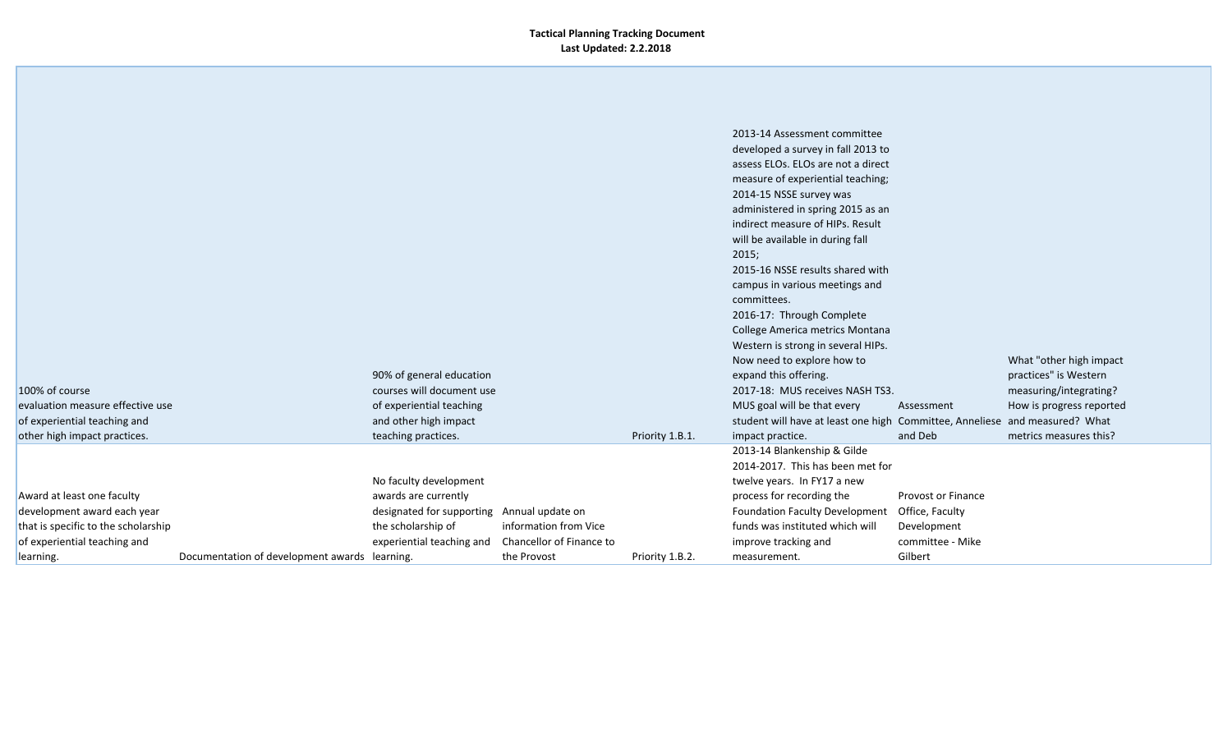|                                                                     |                                               |                                                 |                                                   |                 | indirect measure of HIPs. Result<br>will be available in during fall<br>2015;<br>2015-16 NSSE results shared with |                                 |                          |
|---------------------------------------------------------------------|-----------------------------------------------|-------------------------------------------------|---------------------------------------------------|-----------------|-------------------------------------------------------------------------------------------------------------------|---------------------------------|--------------------------|
|                                                                     |                                               |                                                 |                                                   |                 | campus in various meetings and<br>committees.<br>2016-17: Through Complete                                        |                                 |                          |
|                                                                     |                                               |                                                 |                                                   |                 | College America metrics Montana<br>Western is strong in several HIPs.<br>Now need to explore how to               |                                 | What "other high impact  |
|                                                                     |                                               | 90% of general education                        |                                                   |                 | expand this offering.                                                                                             |                                 | practices" is Western    |
| 100% of course                                                      |                                               | courses will document use                       |                                                   |                 | 2017-18: MUS receives NASH TS3.                                                                                   |                                 | measuring/integrating?   |
| evaluation measure effective use                                    |                                               | of experiential teaching                        |                                                   |                 | MUS goal will be that every                                                                                       | Assessment                      | How is progress reported |
| of experiential teaching and                                        |                                               | and other high impact                           |                                                   |                 | student will have at least one high Committee, Anneliese and measured? What                                       |                                 |                          |
| other high impact practices.                                        |                                               | teaching practices.                             |                                                   | Priority 1.B.1. | impact practice.                                                                                                  | and Deb                         | metrics measures this?   |
|                                                                     |                                               |                                                 |                                                   |                 | 2013-14 Blankenship & Gilde<br>2014-2017. This has been met for                                                   |                                 |                          |
|                                                                     |                                               |                                                 |                                                   |                 |                                                                                                                   |                                 |                          |
|                                                                     |                                               | No faculty development                          |                                                   |                 | twelve years. In FY17 a new                                                                                       |                                 |                          |
| Award at least one faculty                                          |                                               | awards are currently                            |                                                   |                 | process for recording the                                                                                         | Provost or Finance              |                          |
| development award each year                                         |                                               | designated for supporting Annual update on      |                                                   |                 | Foundation Faculty Development                                                                                    | Office, Faculty                 |                          |
| that is specific to the scholarship<br>of experiential teaching and |                                               | the scholarship of<br>experiential teaching and | information from Vice<br>Chancellor of Finance to |                 | funds was instituted which will<br>improve tracking and                                                           | Development<br>committee - Mike |                          |
| learning.                                                           | Documentation of development awards learning. |                                                 | the Provost                                       | Priority 1.B.2. | measurement.                                                                                                      | Gilbert                         |                          |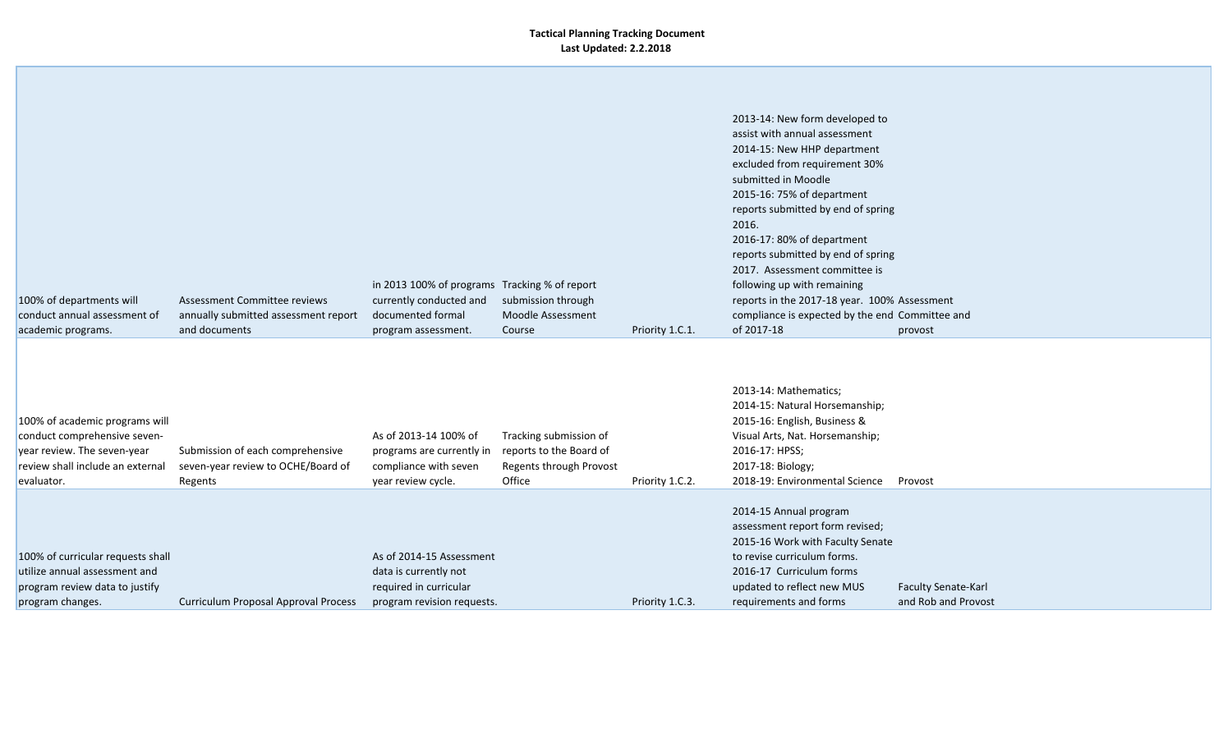| 100% of departments will<br>conduct annual assessment of<br>academic programs.                                                                  | Assessment Committee reviews<br>annually submitted assessment report<br>and documents | in 2013 100% of programs Tracking % of report<br>currently conducted and<br>documented formal<br>program assessment. | submission through<br>Moodle Assessment<br>Course                                      | Priority 1.C.1. | 2013-14: New form developed to<br>assist with annual assessment<br>2014-15: New HHP department<br>excluded from requirement 30%<br>submitted in Moodle<br>2015-16: 75% of department<br>reports submitted by end of spring<br>2016.<br>2016-17: 80% of department<br>reports submitted by end of spring<br>2017. Assessment committee is<br>following up with remaining<br>reports in the 2017-18 year. 100% Assessment<br>compliance is expected by the end Committee and<br>of 2017-18 | provost                                           |
|-------------------------------------------------------------------------------------------------------------------------------------------------|---------------------------------------------------------------------------------------|----------------------------------------------------------------------------------------------------------------------|----------------------------------------------------------------------------------------|-----------------|------------------------------------------------------------------------------------------------------------------------------------------------------------------------------------------------------------------------------------------------------------------------------------------------------------------------------------------------------------------------------------------------------------------------------------------------------------------------------------------|---------------------------------------------------|
| 100% of academic programs will<br>conduct comprehensive seven-<br>year review. The seven-year<br>review shall include an external<br>evaluator. | Submission of each comprehensive<br>seven-year review to OCHE/Board of<br>Regents     | As of 2013-14 100% of<br>programs are currently in<br>compliance with seven<br>year review cycle.                    | Tracking submission of<br>reports to the Board of<br>Regents through Provost<br>Office | Priority 1.C.2. | 2013-14: Mathematics;<br>2014-15: Natural Horsemanship;<br>2015-16: English, Business &<br>Visual Arts, Nat. Horsemanship;<br>2016-17: HPSS;<br>2017-18: Biology;<br>2018-19: Environmental Science                                                                                                                                                                                                                                                                                      | Provost                                           |
| 100% of curricular requests shall<br>utilize annual assessment and<br>program review data to justify<br>program changes.                        | Curriculum Proposal Approval Process                                                  | As of 2014-15 Assessment<br>data is currently not<br>required in curricular<br>program revision requests.            |                                                                                        | Priority 1.C.3. | 2014-15 Annual program<br>assessment report form revised;<br>2015-16 Work with Faculty Senate<br>to revise curriculum forms.<br>2016-17 Curriculum forms<br>updated to reflect new MUS<br>requirements and forms                                                                                                                                                                                                                                                                         | <b>Faculty Senate-Karl</b><br>and Rob and Provost |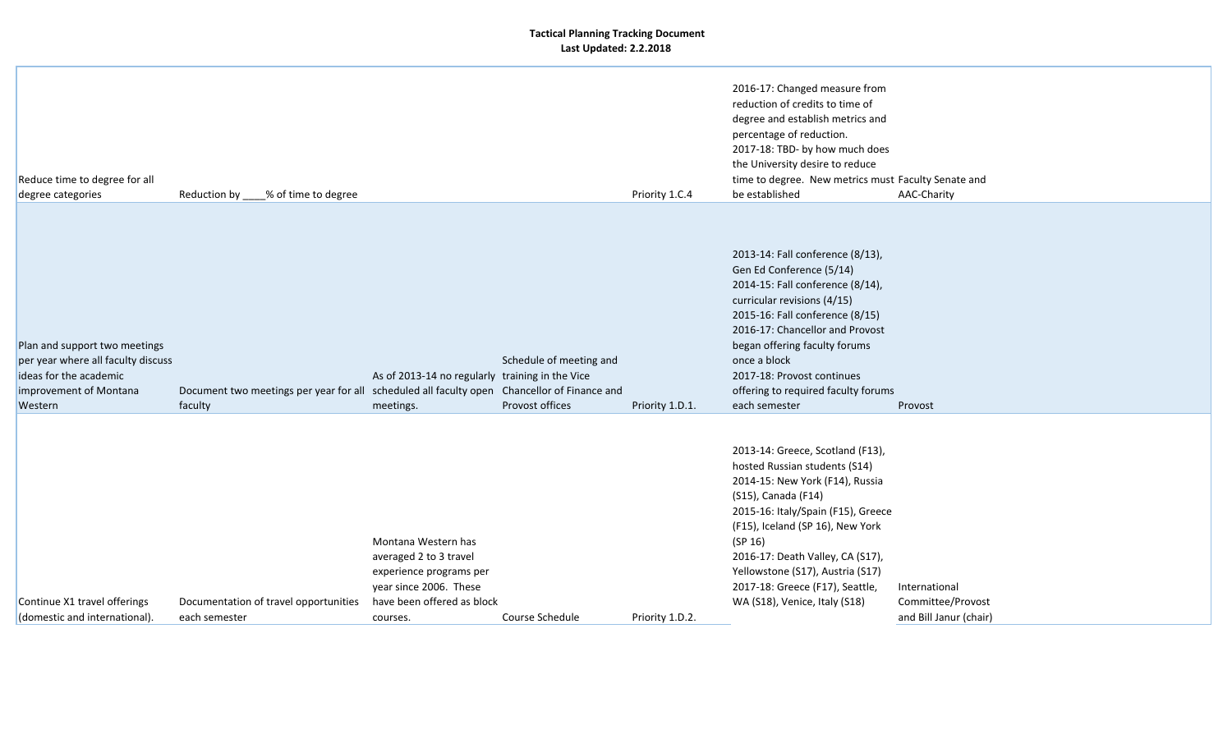| Reduce time to degree for all<br>degree categories                                                                                 | Reduction by ____% of time to degree                                                                   |                                                                                                                                              |                                            | Priority 1.C.4  | 2016-17: Changed measure from<br>reduction of credits to time of<br>degree and establish metrics and<br>percentage of reduction.<br>2017-18: TBD- by how much does<br>the University desire to reduce<br>time to degree. New metrics must Faculty Senate and<br>be established                                                                               | AAC-Charity                                                  |
|------------------------------------------------------------------------------------------------------------------------------------|--------------------------------------------------------------------------------------------------------|----------------------------------------------------------------------------------------------------------------------------------------------|--------------------------------------------|-----------------|--------------------------------------------------------------------------------------------------------------------------------------------------------------------------------------------------------------------------------------------------------------------------------------------------------------------------------------------------------------|--------------------------------------------------------------|
| Plan and support two meetings<br>per year where all faculty discuss<br>ideas for the academic<br>improvement of Montana<br>Western | Document two meetings per year for all scheduled all faculty open Chancellor of Finance and<br>faculty | As of 2013-14 no regularly training in the Vice<br>meetings.                                                                                 | Schedule of meeting and<br>Provost offices | Priority 1.D.1. | 2013-14: Fall conference (8/13),<br>Gen Ed Conference (5/14)<br>2014-15: Fall conference (8/14),<br>curricular revisions (4/15)<br>2015-16: Fall conference (8/15)<br>2016-17: Chancellor and Provost<br>began offering faculty forums<br>once a block<br>2017-18: Provost continues<br>offering to required faculty forums<br>each semester                 | Provost                                                      |
| Continue X1 travel offerings<br>(domestic and international).                                                                      | Documentation of travel opportunities<br>each semester                                                 | Montana Western has<br>averaged 2 to 3 travel<br>experience programs per<br>year since 2006. These<br>have been offered as block<br>courses. | Course Schedule                            | Priority 1.D.2. | 2013-14: Greece, Scotland (F13),<br>hosted Russian students (S14)<br>2014-15: New York (F14), Russia<br>(S15), Canada (F14)<br>2015-16: Italy/Spain (F15), Greece<br>(F15), Iceland (SP 16), New York<br>(SP 16)<br>2016-17: Death Valley, CA (S17),<br>Yellowstone (S17), Austria (S17)<br>2017-18: Greece (F17), Seattle,<br>WA (S18), Venice, Italy (S18) | International<br>Committee/Provost<br>and Bill Janur (chair) |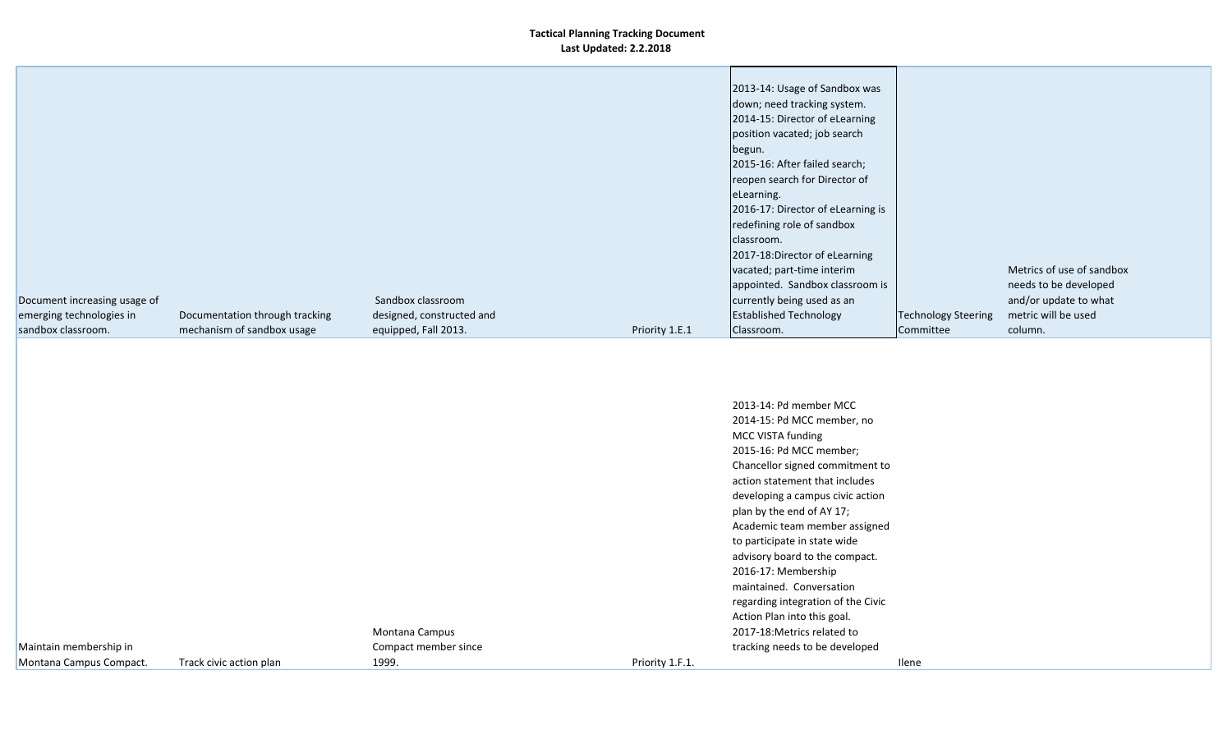|                              |                                |                           |                | 2013-14: Usage of Sandbox was     |                            |                           |  |
|------------------------------|--------------------------------|---------------------------|----------------|-----------------------------------|----------------------------|---------------------------|--|
|                              |                                |                           |                | down; need tracking system.       |                            |                           |  |
|                              |                                |                           |                | 2014-15: Director of eLearning    |                            |                           |  |
|                              |                                |                           |                | position vacated; job search      |                            |                           |  |
|                              |                                |                           |                | begun.                            |                            |                           |  |
|                              |                                |                           |                | 2015-16: After failed search;     |                            |                           |  |
|                              |                                |                           |                | reopen search for Director of     |                            |                           |  |
|                              |                                |                           |                | eLearning.                        |                            |                           |  |
|                              |                                |                           |                | 2016-17: Director of eLearning is |                            |                           |  |
|                              |                                |                           |                | redefining role of sandbox        |                            |                           |  |
|                              |                                |                           |                | classroom.                        |                            |                           |  |
|                              |                                |                           |                | 2017-18:Director of eLearning     |                            |                           |  |
|                              |                                |                           |                | vacated; part-time interim        |                            | Metrics of use of sandbox |  |
|                              |                                |                           |                | appointed. Sandbox classroom is   |                            | needs to be developed     |  |
| Document increasing usage of |                                | Sandbox classroom         |                | currently being used as an        |                            | and/or update to what     |  |
| emerging technologies in     | Documentation through tracking | designed, constructed and |                | <b>Established Technology</b>     | <b>Technology Steering</b> | metric will be used       |  |
| sandbox classroom.           | mechanism of sandbox usage     | equipped, Fall 2013.      | Priority 1.E.1 | Classroom.                        | Committee                  | column.                   |  |
|                              |                                |                           |                |                                   |                            |                           |  |
|                              |                                |                           |                |                                   |                            |                           |  |
|                              |                                |                           |                |                                   |                            |                           |  |

|                         |                         |                      |                 | 2013-14: Pd member MCC             |       |
|-------------------------|-------------------------|----------------------|-----------------|------------------------------------|-------|
|                         |                         |                      |                 | 2014-15: Pd MCC member, no         |       |
|                         |                         |                      |                 | MCC VISTA funding                  |       |
|                         |                         |                      |                 | 2015-16: Pd MCC member;            |       |
|                         |                         |                      |                 | Chancellor signed commitment to    |       |
|                         |                         |                      |                 | action statement that includes     |       |
|                         |                         |                      |                 | developing a campus civic action   |       |
|                         |                         |                      |                 | plan by the end of AY 17;          |       |
|                         |                         |                      |                 | Academic team member assigned      |       |
|                         |                         |                      |                 | to participate in state wide       |       |
|                         |                         |                      |                 | advisory board to the compact.     |       |
|                         |                         |                      |                 | 2016-17: Membership                |       |
|                         |                         |                      |                 | maintained. Conversation           |       |
|                         |                         |                      |                 | regarding integration of the Civic |       |
|                         |                         |                      |                 | Action Plan into this goal.        |       |
|                         |                         | Montana Campus       |                 | 2017-18: Metrics related to        |       |
| Maintain membership in  |                         | Compact member since |                 | tracking needs to be developed     |       |
| Montana Campus Compact. | Track civic action plan | 1999.                | Priority 1.F.1. |                                    | Ilene |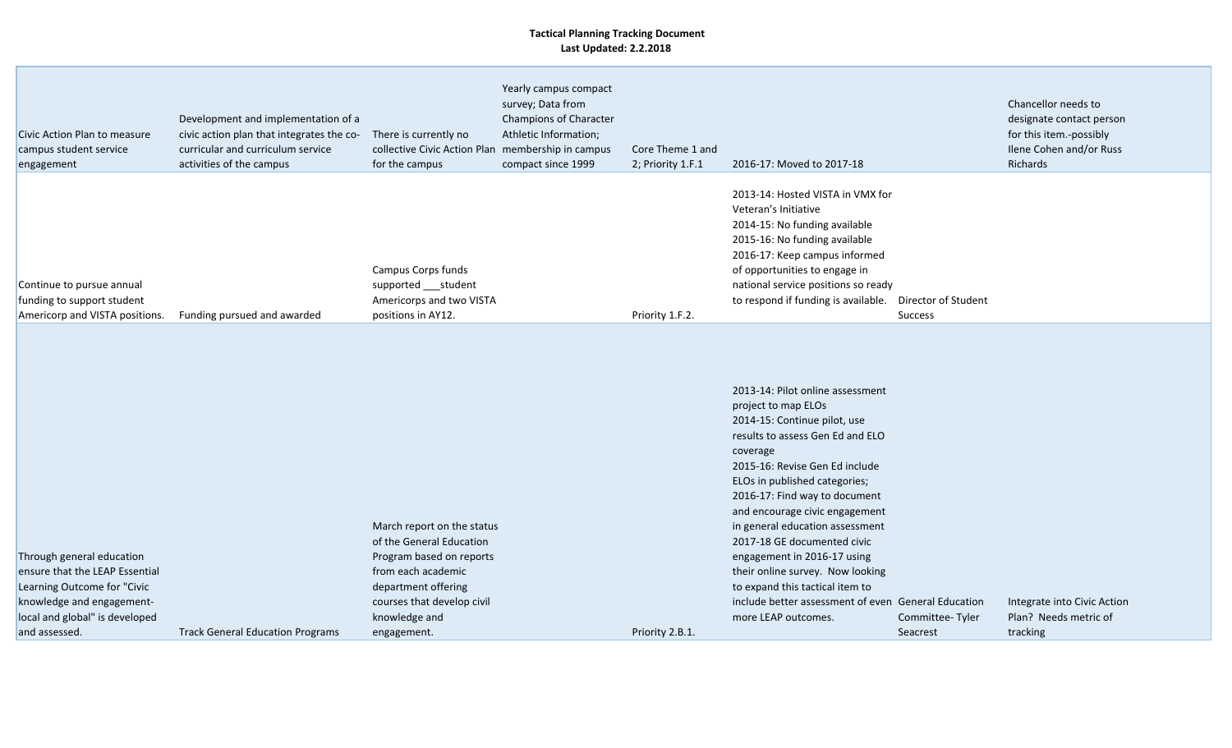| 2013-14: Hosted VISTA in VMX for<br>Veteran's Initiative<br>2014-15: No funding available<br>2015-16: No funding available<br>2016-17: Keep campus informed<br>Campus Corps funds<br>of opportunities to engage in<br>national service positions so ready<br>Continue to pursue annual<br>supported ___student<br>funding to support student<br>Americorps and two VISTA<br>to respond if funding is available.<br>Director of Student<br>Americorp and VISTA positions.<br>Priority 1.F.2.<br>Funding pursued and awarded<br>positions in AY12.<br><b>Success</b><br>2013-14: Pilot online assessment<br>project to map ELOs<br>2014-15: Continue pilot, use<br>results to assess Gen Ed and ELO<br>coverage<br>2015-16: Revise Gen Ed include<br>ELOs in published categories;<br>2016-17: Find way to document<br>and encourage civic engagement<br>March report on the status<br>in general education assessment<br>of the General Education<br>2017-18 GE documented civic<br>Through general education<br>Program based on reports<br>engagement in 2016-17 using<br>from each academic<br>their online survey. Now looking<br>ensure that the LEAP Essential<br>Learning Outcome for "Civic<br>department offering<br>to expand this tactical item to<br>include better assessment of even General Education<br>knowledge and engagement-<br>courses that develop civil<br>Integrate into Civic Action<br>local and global" is developed<br>knowledge and<br>more LEAP outcomes.<br>Plan? Needs metric of<br>Committee-Tyler | Civic Action Plan to measure<br>campus student service<br>engagement | Development and implementation of a<br>civic action plan that integrates the co-<br>curricular and curriculum service<br>activities of the campus | There is currently no<br>collective Civic Action Plan<br>for the campus | Yearly campus compact<br>survey; Data from<br>Champions of Character<br>Athletic Information;<br>membership in campus<br>compact since 1999 | Core Theme 1 and<br>2; Priority 1.F.1 | 2016-17: Moved to 2017-18 | Chancellor needs to<br>designate contact person<br>for this item.-possibly<br>Ilene Cohen and/or Russ<br>Richards |
|-------------------------------------------------------------------------------------------------------------------------------------------------------------------------------------------------------------------------------------------------------------------------------------------------------------------------------------------------------------------------------------------------------------------------------------------------------------------------------------------------------------------------------------------------------------------------------------------------------------------------------------------------------------------------------------------------------------------------------------------------------------------------------------------------------------------------------------------------------------------------------------------------------------------------------------------------------------------------------------------------------------------------------------------------------------------------------------------------------------------------------------------------------------------------------------------------------------------------------------------------------------------------------------------------------------------------------------------------------------------------------------------------------------------------------------------------------------------------------------------------------------------------------------|----------------------------------------------------------------------|---------------------------------------------------------------------------------------------------------------------------------------------------|-------------------------------------------------------------------------|---------------------------------------------------------------------------------------------------------------------------------------------|---------------------------------------|---------------------------|-------------------------------------------------------------------------------------------------------------------|
|                                                                                                                                                                                                                                                                                                                                                                                                                                                                                                                                                                                                                                                                                                                                                                                                                                                                                                                                                                                                                                                                                                                                                                                                                                                                                                                                                                                                                                                                                                                                     |                                                                      |                                                                                                                                                   |                                                                         |                                                                                                                                             |                                       |                           |                                                                                                                   |
| <b>Track General Education Programs</b><br>Priority 2.B.1.<br>tracking<br>and assessed.<br>engagement.<br>Seacrest                                                                                                                                                                                                                                                                                                                                                                                                                                                                                                                                                                                                                                                                                                                                                                                                                                                                                                                                                                                                                                                                                                                                                                                                                                                                                                                                                                                                                  |                                                                      |                                                                                                                                                   |                                                                         |                                                                                                                                             |                                       |                           |                                                                                                                   |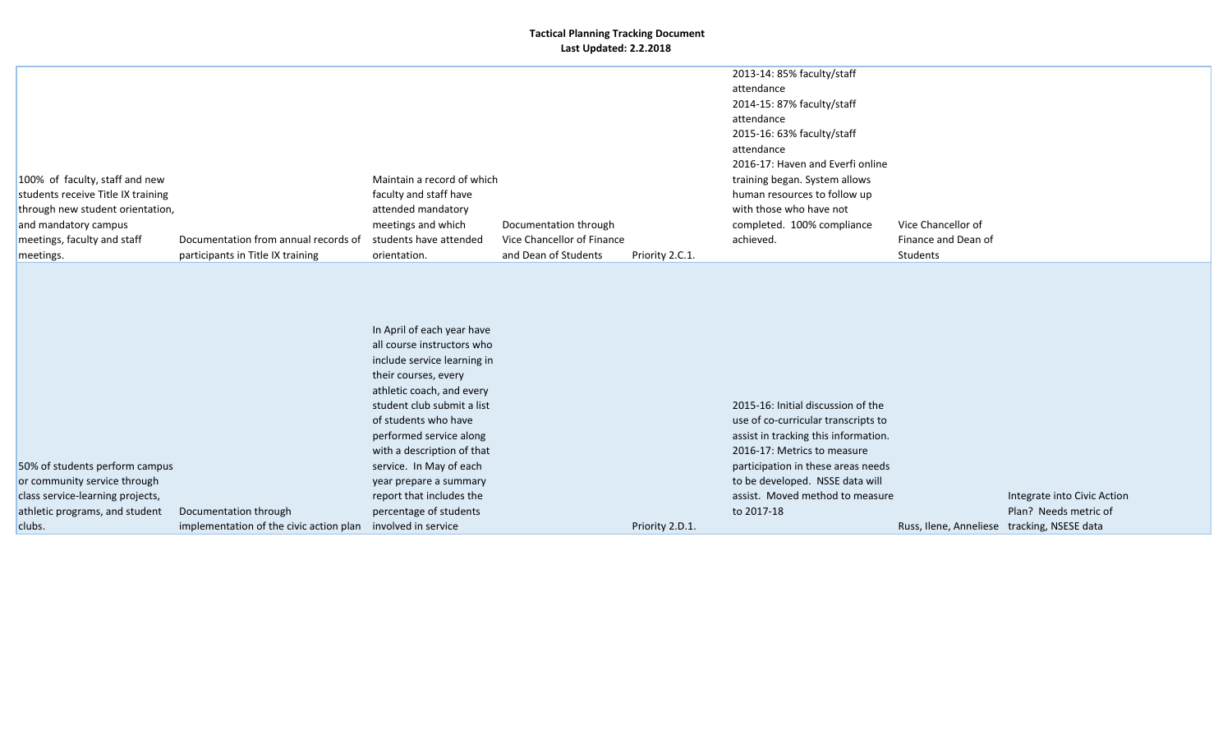| 100% of faculty, staff and new<br>students receive Title IX training<br>through new student orientation,<br>and mandatory campus<br>meetings, faculty and staff<br>meetings. | Documentation from annual records of<br>participants in Title IX training            | Maintain a record of which<br>faculty and staff have<br>attended mandatory<br>meetings and which<br>students have attended<br>orientation.                                                                                                                                                                                                                             | Documentation through<br>Vice Chancellor of Finance<br>and Dean of Students | Priority 2.C.1. | 2013-14: 85% faculty/staff<br>attendance<br>2014-15: 87% faculty/staff<br>attendance<br>2015-16: 63% faculty/staff<br>attendance<br>2016-17: Haven and Everfi online<br>training began. System allows<br>human resources to follow up<br>with those who have not<br>completed. 100% compliance<br>achieved. | Vice Chancellor of<br>Finance and Dean of<br>Students |                                                      |
|------------------------------------------------------------------------------------------------------------------------------------------------------------------------------|--------------------------------------------------------------------------------------|------------------------------------------------------------------------------------------------------------------------------------------------------------------------------------------------------------------------------------------------------------------------------------------------------------------------------------------------------------------------|-----------------------------------------------------------------------------|-----------------|-------------------------------------------------------------------------------------------------------------------------------------------------------------------------------------------------------------------------------------------------------------------------------------------------------------|-------------------------------------------------------|------------------------------------------------------|
| 50% of students perform campus<br>or community service through<br>class service-learning projects,<br>athletic programs, and student<br>clubs.                               | Documentation through<br>implementation of the civic action plan involved in service | In April of each year have<br>all course instructors who<br>include service learning in<br>their courses, every<br>athletic coach, and every<br>student club submit a list<br>of students who have<br>performed service along<br>with a description of that<br>service. In May of each<br>year prepare a summary<br>report that includes the<br>percentage of students |                                                                             | Priority 2.D.1. | 2015-16: Initial discussion of the<br>use of co-curricular transcripts to<br>assist in tracking this information.<br>2016-17: Metrics to measure<br>participation in these areas needs<br>to be developed. NSSE data will<br>assist. Moved method to measure<br>to 2017-18                                  | Russ, Ilene, Anneliese tracking, NSESE data           | Integrate into Civic Action<br>Plan? Needs metric of |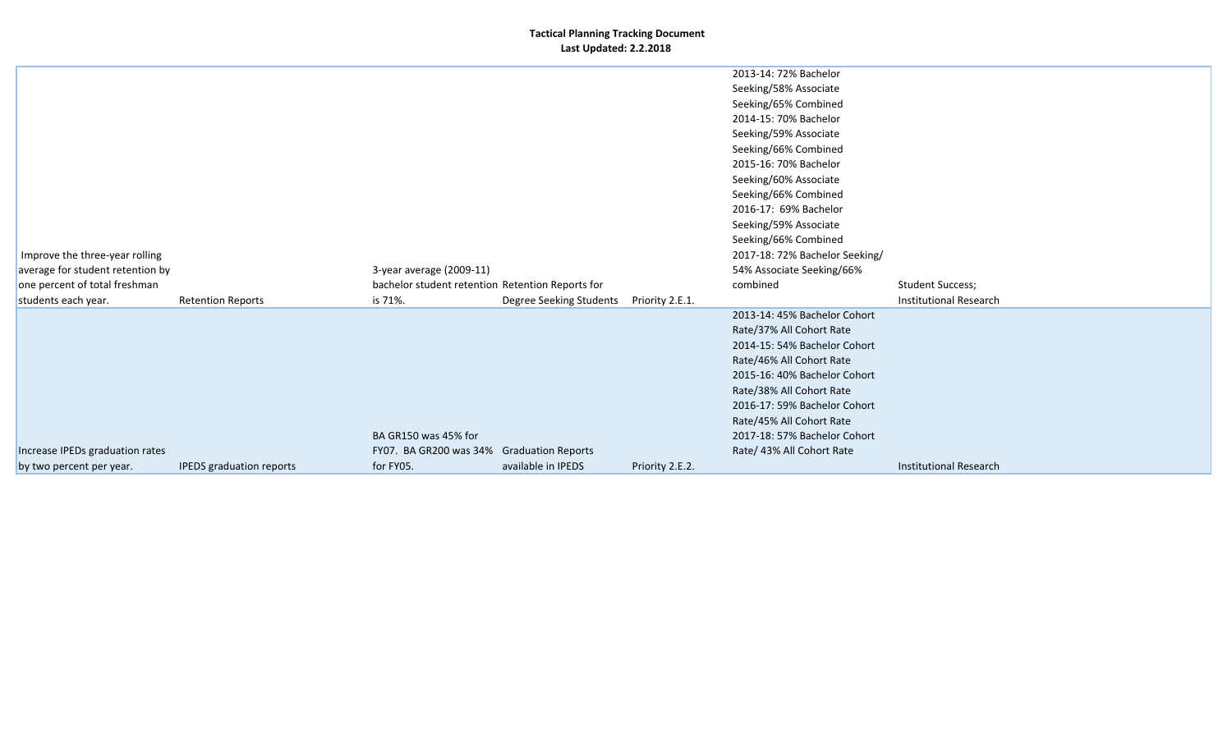| 2013-14: 72% Bachelor<br>Seeking/58% Associate<br>Seeking/65% Combined<br>2014-15: 70% Bachelor<br>Seeking/59% Associate<br>Seeking/66% Combined<br>2015-16: 70% Bachelor<br>Seeking/60% Associate<br>Seeking/66% Combined<br>2016-17: 69% Bachelor<br>Seeking/59% Associate<br>Seeking/66% Combined<br>2017-18: 72% Bachelor Seeking/<br>Improve the three-year rolling<br>average for student retention by<br>3-year average (2009-11)<br>54% Associate Seeking/66%<br>one percent of total freshman<br><b>Student Success;</b><br>bachelor student retention Retention Reports for<br>combined<br><b>Institutional Research</b><br>is 71%.<br>Degree Seeking Students<br>Priority 2.E.1.<br>students each year.<br><b>Retention Reports</b><br>2013-14: 45% Bachelor Cohort<br>Rate/37% All Cohort Rate<br>2014-15: 54% Bachelor Cohort<br>Rate/46% All Cohort Rate<br>2015-16: 40% Bachelor Cohort<br>Rate/38% All Cohort Rate<br>2016-17: 59% Bachelor Cohort<br>Rate/45% All Cohort Rate<br>BA GR150 was 45% for<br>2017-18: 57% Bachelor Cohort<br>Increase IPEDs graduation rates<br>FY07. BA GR200 was 34% Graduation Reports<br>Rate/ 43% All Cohort Rate |  |  |  |  |
|---------------------------------------------------------------------------------------------------------------------------------------------------------------------------------------------------------------------------------------------------------------------------------------------------------------------------------------------------------------------------------------------------------------------------------------------------------------------------------------------------------------------------------------------------------------------------------------------------------------------------------------------------------------------------------------------------------------------------------------------------------------------------------------------------------------------------------------------------------------------------------------------------------------------------------------------------------------------------------------------------------------------------------------------------------------------------------------------------------------------------------------------------------------------|--|--|--|--|
|                                                                                                                                                                                                                                                                                                                                                                                                                                                                                                                                                                                                                                                                                                                                                                                                                                                                                                                                                                                                                                                                                                                                                                     |  |  |  |  |
|                                                                                                                                                                                                                                                                                                                                                                                                                                                                                                                                                                                                                                                                                                                                                                                                                                                                                                                                                                                                                                                                                                                                                                     |  |  |  |  |
|                                                                                                                                                                                                                                                                                                                                                                                                                                                                                                                                                                                                                                                                                                                                                                                                                                                                                                                                                                                                                                                                                                                                                                     |  |  |  |  |
|                                                                                                                                                                                                                                                                                                                                                                                                                                                                                                                                                                                                                                                                                                                                                                                                                                                                                                                                                                                                                                                                                                                                                                     |  |  |  |  |
|                                                                                                                                                                                                                                                                                                                                                                                                                                                                                                                                                                                                                                                                                                                                                                                                                                                                                                                                                                                                                                                                                                                                                                     |  |  |  |  |
|                                                                                                                                                                                                                                                                                                                                                                                                                                                                                                                                                                                                                                                                                                                                                                                                                                                                                                                                                                                                                                                                                                                                                                     |  |  |  |  |
|                                                                                                                                                                                                                                                                                                                                                                                                                                                                                                                                                                                                                                                                                                                                                                                                                                                                                                                                                                                                                                                                                                                                                                     |  |  |  |  |
|                                                                                                                                                                                                                                                                                                                                                                                                                                                                                                                                                                                                                                                                                                                                                                                                                                                                                                                                                                                                                                                                                                                                                                     |  |  |  |  |
|                                                                                                                                                                                                                                                                                                                                                                                                                                                                                                                                                                                                                                                                                                                                                                                                                                                                                                                                                                                                                                                                                                                                                                     |  |  |  |  |
|                                                                                                                                                                                                                                                                                                                                                                                                                                                                                                                                                                                                                                                                                                                                                                                                                                                                                                                                                                                                                                                                                                                                                                     |  |  |  |  |
|                                                                                                                                                                                                                                                                                                                                                                                                                                                                                                                                                                                                                                                                                                                                                                                                                                                                                                                                                                                                                                                                                                                                                                     |  |  |  |  |
|                                                                                                                                                                                                                                                                                                                                                                                                                                                                                                                                                                                                                                                                                                                                                                                                                                                                                                                                                                                                                                                                                                                                                                     |  |  |  |  |
|                                                                                                                                                                                                                                                                                                                                                                                                                                                                                                                                                                                                                                                                                                                                                                                                                                                                                                                                                                                                                                                                                                                                                                     |  |  |  |  |
|                                                                                                                                                                                                                                                                                                                                                                                                                                                                                                                                                                                                                                                                                                                                                                                                                                                                                                                                                                                                                                                                                                                                                                     |  |  |  |  |
|                                                                                                                                                                                                                                                                                                                                                                                                                                                                                                                                                                                                                                                                                                                                                                                                                                                                                                                                                                                                                                                                                                                                                                     |  |  |  |  |
|                                                                                                                                                                                                                                                                                                                                                                                                                                                                                                                                                                                                                                                                                                                                                                                                                                                                                                                                                                                                                                                                                                                                                                     |  |  |  |  |
|                                                                                                                                                                                                                                                                                                                                                                                                                                                                                                                                                                                                                                                                                                                                                                                                                                                                                                                                                                                                                                                                                                                                                                     |  |  |  |  |
|                                                                                                                                                                                                                                                                                                                                                                                                                                                                                                                                                                                                                                                                                                                                                                                                                                                                                                                                                                                                                                                                                                                                                                     |  |  |  |  |
|                                                                                                                                                                                                                                                                                                                                                                                                                                                                                                                                                                                                                                                                                                                                                                                                                                                                                                                                                                                                                                                                                                                                                                     |  |  |  |  |
|                                                                                                                                                                                                                                                                                                                                                                                                                                                                                                                                                                                                                                                                                                                                                                                                                                                                                                                                                                                                                                                                                                                                                                     |  |  |  |  |
|                                                                                                                                                                                                                                                                                                                                                                                                                                                                                                                                                                                                                                                                                                                                                                                                                                                                                                                                                                                                                                                                                                                                                                     |  |  |  |  |
|                                                                                                                                                                                                                                                                                                                                                                                                                                                                                                                                                                                                                                                                                                                                                                                                                                                                                                                                                                                                                                                                                                                                                                     |  |  |  |  |
|                                                                                                                                                                                                                                                                                                                                                                                                                                                                                                                                                                                                                                                                                                                                                                                                                                                                                                                                                                                                                                                                                                                                                                     |  |  |  |  |
|                                                                                                                                                                                                                                                                                                                                                                                                                                                                                                                                                                                                                                                                                                                                                                                                                                                                                                                                                                                                                                                                                                                                                                     |  |  |  |  |
|                                                                                                                                                                                                                                                                                                                                                                                                                                                                                                                                                                                                                                                                                                                                                                                                                                                                                                                                                                                                                                                                                                                                                                     |  |  |  |  |
|                                                                                                                                                                                                                                                                                                                                                                                                                                                                                                                                                                                                                                                                                                                                                                                                                                                                                                                                                                                                                                                                                                                                                                     |  |  |  |  |
| for FY05.<br>available in IPEDS<br><b>Institutional Research</b><br><b>IPEDS</b> graduation reports<br>Priority 2.E.2.<br>by two percent per year.                                                                                                                                                                                                                                                                                                                                                                                                                                                                                                                                                                                                                                                                                                                                                                                                                                                                                                                                                                                                                  |  |  |  |  |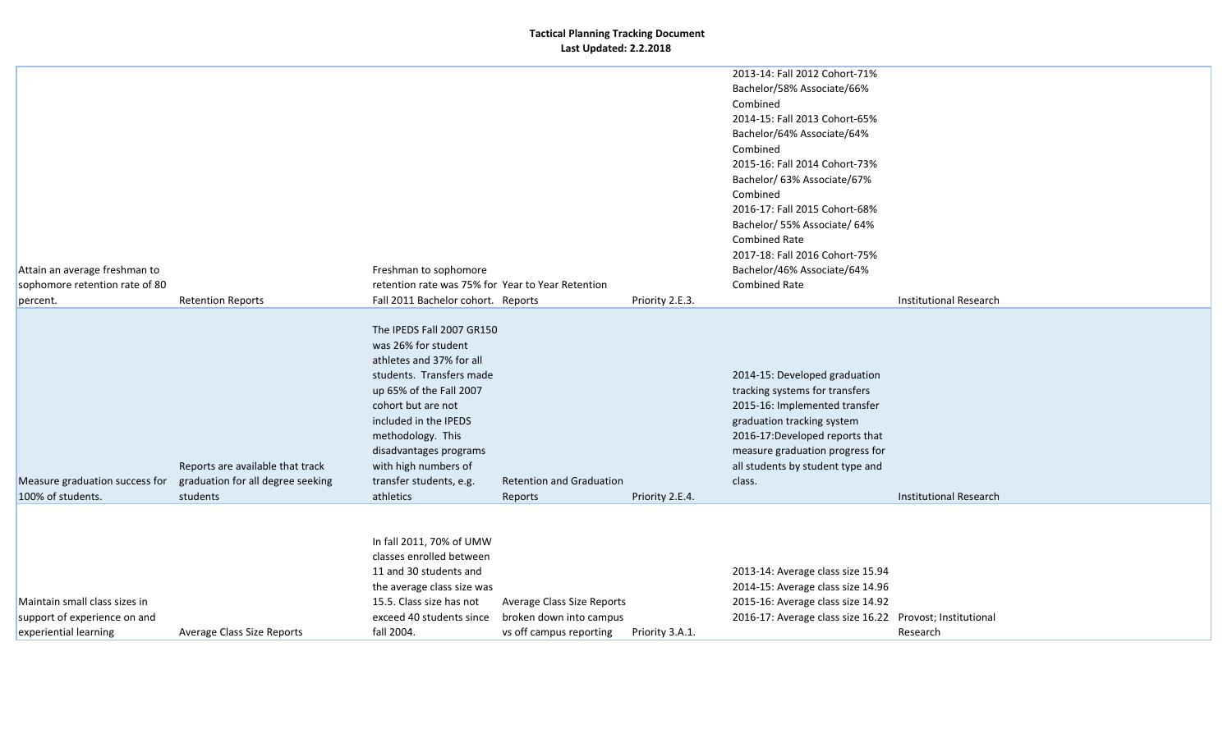|                                |                                   |                                                   |                            |                 | 2013-14: Fall 2012 Cohort-71%                            |                               |
|--------------------------------|-----------------------------------|---------------------------------------------------|----------------------------|-----------------|----------------------------------------------------------|-------------------------------|
|                                |                                   |                                                   |                            |                 | Bachelor/58% Associate/66%                               |                               |
|                                |                                   |                                                   |                            |                 | Combined                                                 |                               |
|                                |                                   |                                                   |                            |                 | 2014-15: Fall 2013 Cohort-65%                            |                               |
|                                |                                   |                                                   |                            |                 | Bachelor/64% Associate/64%                               |                               |
|                                |                                   |                                                   |                            |                 | Combined                                                 |                               |
|                                |                                   |                                                   |                            |                 | 2015-16: Fall 2014 Cohort-73%                            |                               |
|                                |                                   |                                                   |                            |                 | Bachelor/ 63% Associate/67%                              |                               |
|                                |                                   |                                                   |                            |                 | Combined                                                 |                               |
|                                |                                   |                                                   |                            |                 | 2016-17: Fall 2015 Cohort-68%                            |                               |
|                                |                                   |                                                   |                            |                 | Bachelor/ 55% Associate/ 64%                             |                               |
|                                |                                   |                                                   |                            |                 | <b>Combined Rate</b>                                     |                               |
|                                |                                   |                                                   |                            |                 | 2017-18: Fall 2016 Cohort-75%                            |                               |
| Attain an average freshman to  |                                   | Freshman to sophomore                             |                            |                 | Bachelor/46% Associate/64%                               |                               |
| sophomore retention rate of 80 |                                   | retention rate was 75% for Year to Year Retention |                            |                 | <b>Combined Rate</b>                                     |                               |
| percent.                       | <b>Retention Reports</b>          | Fall 2011 Bachelor cohort. Reports                |                            | Priority 2.E.3. |                                                          | <b>Institutional Research</b> |
|                                |                                   |                                                   |                            |                 |                                                          |                               |
|                                |                                   | The IPEDS Fall 2007 GR150                         |                            |                 |                                                          |                               |
|                                |                                   | was 26% for student                               |                            |                 |                                                          |                               |
|                                |                                   | athletes and 37% for all                          |                            |                 |                                                          |                               |
|                                |                                   | students. Transfers made                          |                            |                 | 2014-15: Developed graduation                            |                               |
|                                |                                   | up 65% of the Fall 2007                           |                            |                 | tracking systems for transfers                           |                               |
|                                |                                   | cohort but are not                                |                            |                 | 2015-16: Implemented transfer                            |                               |
|                                |                                   | included in the IPEDS                             |                            |                 | graduation tracking system                               |                               |
|                                |                                   | methodology. This                                 |                            |                 | 2016-17:Developed reports that                           |                               |
|                                |                                   | disadvantages programs                            |                            |                 | measure graduation progress for                          |                               |
|                                | Reports are available that track  | with high numbers of                              |                            |                 | all students by student type and                         |                               |
| Measure graduation success for | graduation for all degree seeking | transfer students, e.g.                           | Retention and Graduation   |                 | class.                                                   |                               |
| 100% of students.              | students                          | athletics                                         | Reports                    | Priority 2.E.4. |                                                          | <b>Institutional Research</b> |
|                                |                                   |                                                   |                            |                 |                                                          |                               |
|                                |                                   |                                                   |                            |                 |                                                          |                               |
|                                |                                   | In fall 2011, 70% of UMW                          |                            |                 |                                                          |                               |
|                                |                                   | classes enrolled between                          |                            |                 |                                                          |                               |
|                                |                                   | 11 and 30 students and                            |                            |                 | 2013-14: Average class size 15.94                        |                               |
|                                |                                   | the average class size was                        |                            |                 | 2014-15: Average class size 14.96                        |                               |
| Maintain small class sizes in  |                                   | 15.5. Class size has not                          | Average Class Size Reports |                 | 2015-16: Average class size 14.92                        |                               |
| support of experience on and   |                                   | exceed 40 students since                          | broken down into campus    |                 | 2016-17: Average class size 16.22 Provost; Institutional |                               |
| experiential learning          | Average Class Size Reports        | fall 2004.                                        | vs off campus reporting    | Priority 3.A.1. |                                                          | Research                      |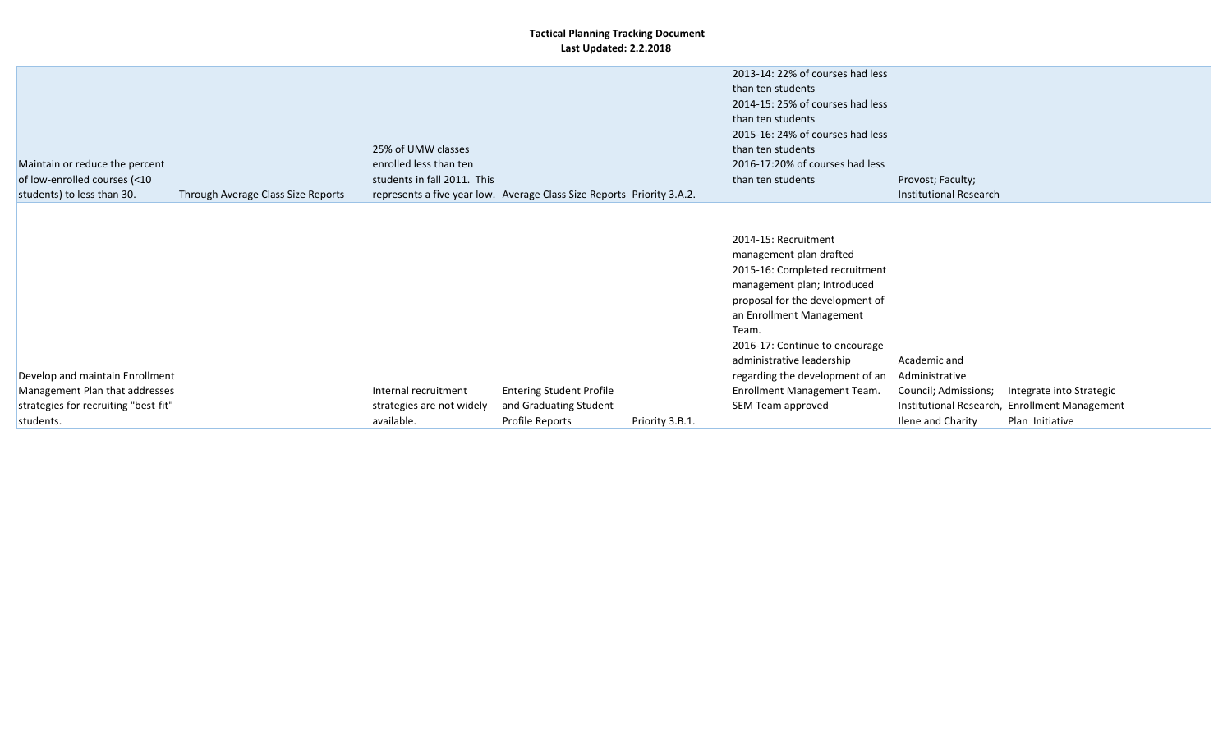|                                                                   |                             |                                                                        |                 | 2013-14: 22% of courses had less                                                                                                                                                                                                                                                                                          |                                                        |                                               |  |
|-------------------------------------------------------------------|-----------------------------|------------------------------------------------------------------------|-----------------|---------------------------------------------------------------------------------------------------------------------------------------------------------------------------------------------------------------------------------------------------------------------------------------------------------------------------|--------------------------------------------------------|-----------------------------------------------|--|
|                                                                   |                             |                                                                        |                 | than ten students                                                                                                                                                                                                                                                                                                         |                                                        |                                               |  |
|                                                                   |                             |                                                                        |                 | 2014-15: 25% of courses had less                                                                                                                                                                                                                                                                                          |                                                        |                                               |  |
|                                                                   |                             |                                                                        |                 | than ten students                                                                                                                                                                                                                                                                                                         |                                                        |                                               |  |
|                                                                   |                             |                                                                        |                 | 2015-16: 24% of courses had less                                                                                                                                                                                                                                                                                          |                                                        |                                               |  |
|                                                                   | 25% of UMW classes          |                                                                        |                 | than ten students                                                                                                                                                                                                                                                                                                         |                                                        |                                               |  |
| Maintain or reduce the percent                                    | enrolled less than ten      |                                                                        |                 | 2016-17:20% of courses had less                                                                                                                                                                                                                                                                                           |                                                        |                                               |  |
| of low-enrolled courses (<10                                      | students in fall 2011. This |                                                                        |                 | than ten students                                                                                                                                                                                                                                                                                                         | Provost; Faculty;                                      |                                               |  |
| students) to less than 30.<br>Through Average Class Size Reports  |                             | represents a five year low. Average Class Size Reports Priority 3.A.2. |                 |                                                                                                                                                                                                                                                                                                                           | Institutional Research                                 |                                               |  |
| Develop and maintain Enrollment<br>Management Plan that addresses | Internal recruitment        | <b>Entering Student Profile</b>                                        |                 | 2014-15: Recruitment<br>management plan drafted<br>2015-16: Completed recruitment<br>management plan; Introduced<br>proposal for the development of<br>an Enrollment Management<br>Team.<br>2016-17: Continue to encourage<br>administrative leadership<br>regarding the development of an<br>Enrollment Management Team. | Academic and<br>Administrative<br>Council; Admissions; | Integrate into Strategic                      |  |
| strategies for recruiting "best-fit"                              | strategies are not widely   | and Graduating Student                                                 |                 | SEM Team approved                                                                                                                                                                                                                                                                                                         |                                                        | Institutional Research, Enrollment Management |  |
| students.                                                         | available.                  | Profile Reports                                                        | Priority 3.B.1. |                                                                                                                                                                                                                                                                                                                           | Ilene and Charity                                      | Plan Initiative                               |  |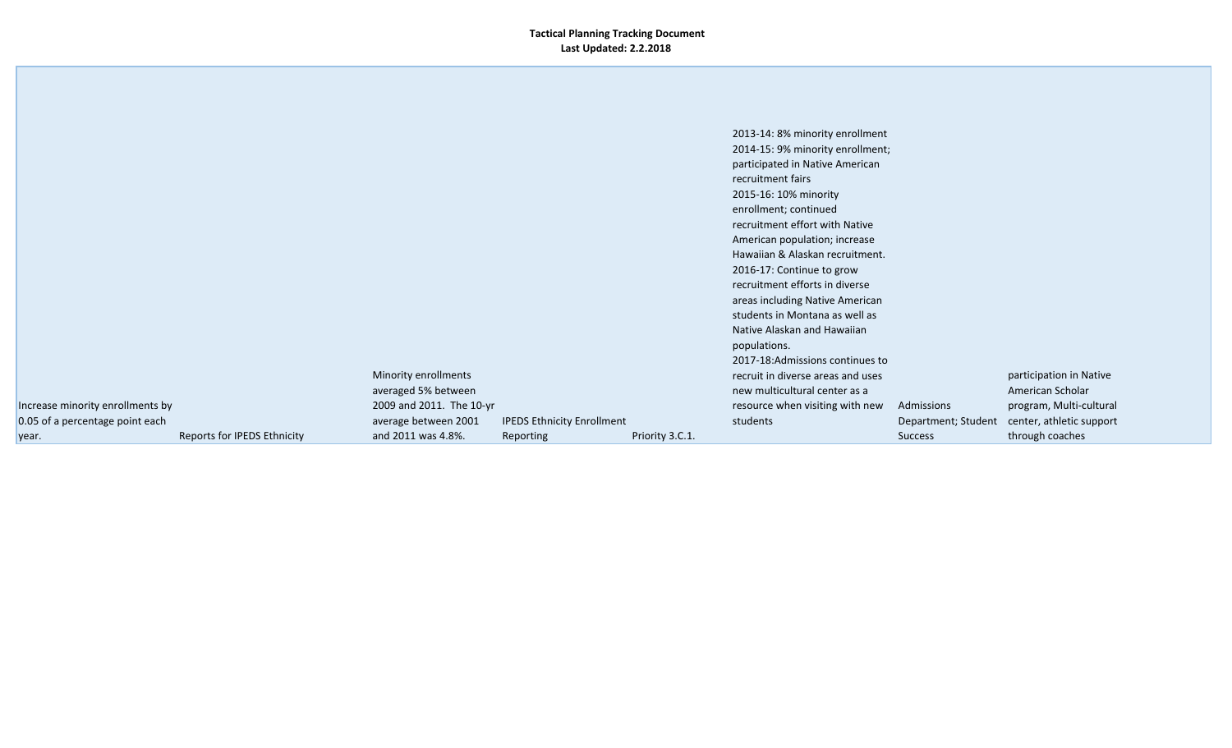|                                  |                             |                          |                                   |                 | 2013-14: 8% minority enrollment   |                     |                          |
|----------------------------------|-----------------------------|--------------------------|-----------------------------------|-----------------|-----------------------------------|---------------------|--------------------------|
|                                  |                             |                          |                                   |                 | 2014-15: 9% minority enrollment;  |                     |                          |
|                                  |                             |                          |                                   |                 | participated in Native American   |                     |                          |
|                                  |                             |                          |                                   |                 | recruitment fairs                 |                     |                          |
|                                  |                             |                          |                                   |                 | 2015-16: 10% minority             |                     |                          |
|                                  |                             |                          |                                   |                 | enrollment; continued             |                     |                          |
|                                  |                             |                          |                                   |                 | recruitment effort with Native    |                     |                          |
|                                  |                             |                          |                                   |                 |                                   |                     |                          |
|                                  |                             |                          |                                   |                 | American population; increase     |                     |                          |
|                                  |                             |                          |                                   |                 | Hawaiian & Alaskan recruitment.   |                     |                          |
|                                  |                             |                          |                                   |                 | 2016-17: Continue to grow         |                     |                          |
|                                  |                             |                          |                                   |                 | recruitment efforts in diverse    |                     |                          |
|                                  |                             |                          |                                   |                 | areas including Native American   |                     |                          |
|                                  |                             |                          |                                   |                 | students in Montana as well as    |                     |                          |
|                                  |                             |                          |                                   |                 | Native Alaskan and Hawaiian       |                     |                          |
|                                  |                             |                          |                                   |                 | populations.                      |                     |                          |
|                                  |                             |                          |                                   |                 | 2017-18:Admissions continues to   |                     |                          |
|                                  |                             | Minority enrollments     |                                   |                 | recruit in diverse areas and uses |                     | participation in Native  |
|                                  |                             | averaged 5% between      |                                   |                 | new multicultural center as a     |                     | American Scholar         |
| Increase minority enrollments by |                             | 2009 and 2011. The 10-yr |                                   |                 | resource when visiting with new   | Admissions          | program, Multi-cultural  |
| 0.05 of a percentage point each  |                             | average between 2001     | <b>IPEDS Ethnicity Enrollment</b> |                 | students                          | Department; Student | center, athletic support |
| year.                            | Reports for IPEDS Ethnicity | and 2011 was 4.8%.       | Reporting                         | Priority 3.C.1. |                                   | <b>Success</b>      | through coaches          |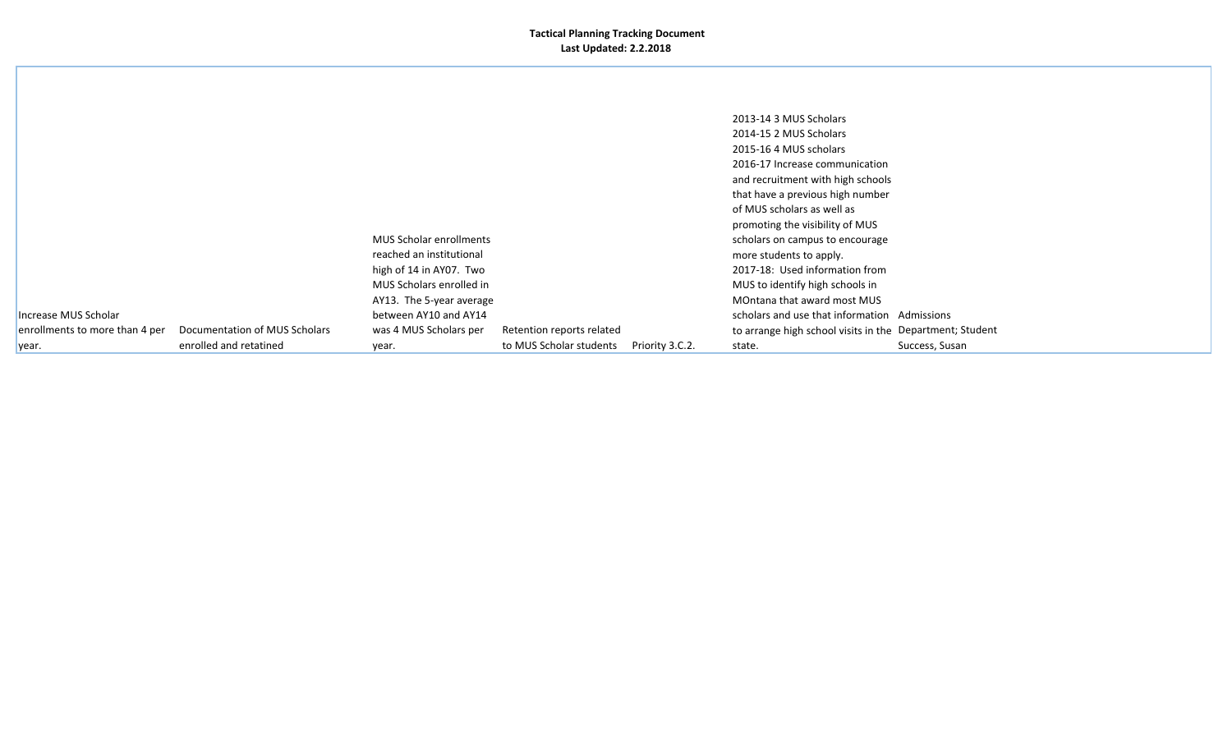|                                |                               |                          |                           |                 | 2013-14 3 MUS Scholars                                   |                |
|--------------------------------|-------------------------------|--------------------------|---------------------------|-----------------|----------------------------------------------------------|----------------|
|                                |                               |                          |                           |                 | 2014-15 2 MUS Scholars                                   |                |
|                                |                               |                          |                           |                 | 2015-16 4 MUS scholars                                   |                |
|                                |                               |                          |                           |                 | 2016-17 Increase communication                           |                |
|                                |                               |                          |                           |                 | and recruitment with high schools                        |                |
|                                |                               |                          |                           |                 | that have a previous high number                         |                |
|                                |                               |                          |                           |                 | of MUS scholars as well as                               |                |
|                                |                               |                          |                           |                 | promoting the visibility of MUS                          |                |
|                                |                               | MUS Scholar enrollments  |                           |                 | scholars on campus to encourage                          |                |
|                                |                               | reached an institutional |                           |                 | more students to apply.                                  |                |
|                                |                               | high of 14 in AY07. Two  |                           |                 | 2017-18: Used information from                           |                |
|                                |                               | MUS Scholars enrolled in |                           |                 | MUS to identify high schools in                          |                |
|                                |                               | AY13. The 5-year average |                           |                 | MOntana that award most MUS                              |                |
| Increase MUS Scholar           |                               | between AY10 and AY14    |                           |                 | scholars and use that information Admissions             |                |
| enrollments to more than 4 per | Documentation of MUS Scholars | was 4 MUS Scholars per   | Retention reports related |                 | to arrange high school visits in the Department; Student |                |
| year.                          | enrolled and retatined        | year.                    | to MUS Scholar students   | Priority 3.C.2. | state.                                                   | Success, Susan |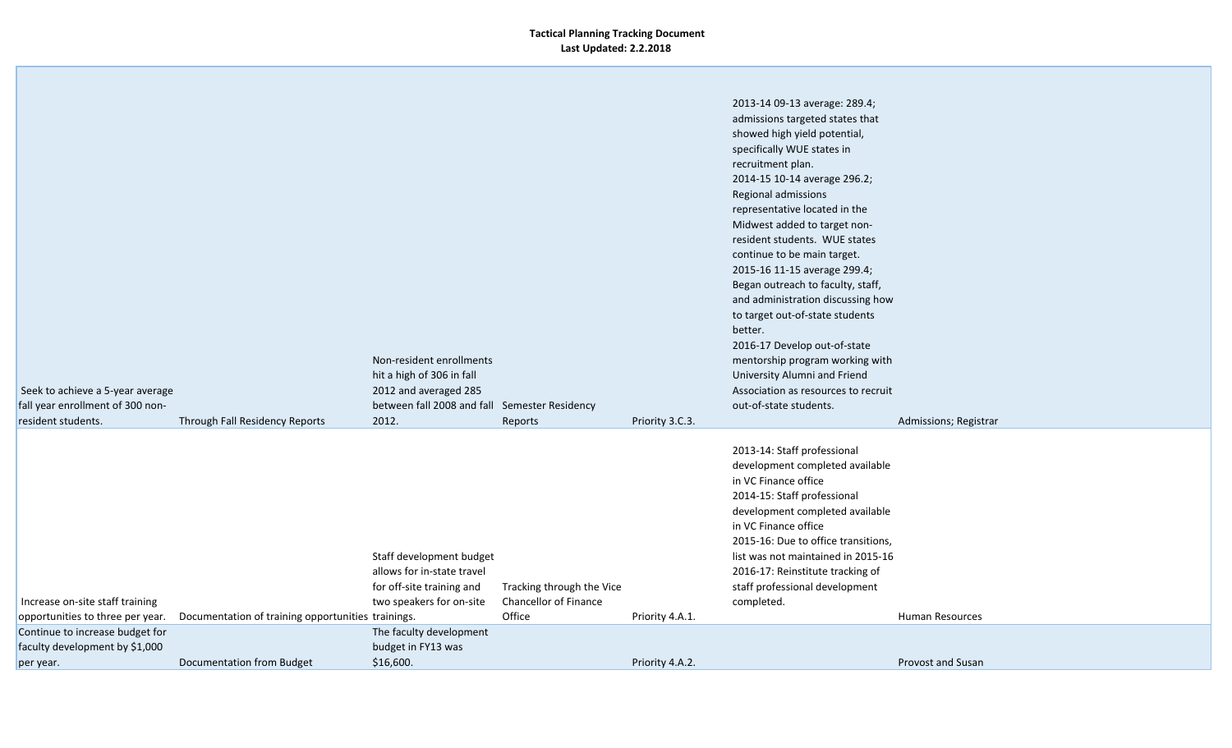|                                                                                        |                                               |                              |                 | 2013-14 09-13 average: 289.4;       |                          |
|----------------------------------------------------------------------------------------|-----------------------------------------------|------------------------------|-----------------|-------------------------------------|--------------------------|
|                                                                                        |                                               |                              |                 | admissions targeted states that     |                          |
|                                                                                        |                                               |                              |                 | showed high yield potential,        |                          |
|                                                                                        |                                               |                              |                 | specifically WUE states in          |                          |
|                                                                                        |                                               |                              |                 | recruitment plan.                   |                          |
|                                                                                        |                                               |                              |                 | 2014-15 10-14 average 296.2;        |                          |
|                                                                                        |                                               |                              |                 | Regional admissions                 |                          |
|                                                                                        |                                               |                              |                 | representative located in the       |                          |
|                                                                                        |                                               |                              |                 | Midwest added to target non-        |                          |
|                                                                                        |                                               |                              |                 | resident students. WUE states       |                          |
|                                                                                        |                                               |                              |                 | continue to be main target.         |                          |
|                                                                                        |                                               |                              |                 | 2015-16 11-15 average 299.4;        |                          |
|                                                                                        |                                               |                              |                 | Began outreach to faculty, staff,   |                          |
|                                                                                        |                                               |                              |                 | and administration discussing how   |                          |
|                                                                                        |                                               |                              |                 | to target out-of-state students     |                          |
|                                                                                        |                                               |                              |                 | better.                             |                          |
|                                                                                        |                                               |                              |                 | 2016-17 Develop out-of-state        |                          |
|                                                                                        | Non-resident enrollments                      |                              |                 | mentorship program working with     |                          |
|                                                                                        | hit a high of 306 in fall                     |                              |                 | University Alumni and Friend        |                          |
| Seek to achieve a 5-year average                                                       | 2012 and averaged 285                         |                              |                 | Association as resources to recruit |                          |
| fall year enrollment of 300 non-                                                       | between fall 2008 and fall Semester Residency |                              |                 | out-of-state students.              |                          |
| resident students.<br>Through Fall Residency Reports                                   | 2012.                                         | Reports                      | Priority 3.C.3. |                                     | Admissions; Registrar    |
|                                                                                        |                                               |                              |                 | 2013-14: Staff professional         |                          |
|                                                                                        |                                               |                              |                 | development completed available     |                          |
|                                                                                        |                                               |                              |                 | in VC Finance office                |                          |
|                                                                                        |                                               |                              |                 | 2014-15: Staff professional         |                          |
|                                                                                        |                                               |                              |                 | development completed available     |                          |
|                                                                                        |                                               |                              |                 | in VC Finance office                |                          |
|                                                                                        |                                               |                              |                 | 2015-16: Due to office transitions, |                          |
|                                                                                        | Staff development budget                      |                              |                 | list was not maintained in 2015-16  |                          |
|                                                                                        | allows for in-state travel                    |                              |                 | 2016-17: Reinstitute tracking of    |                          |
|                                                                                        | for off-site training and                     | Tracking through the Vice    |                 | staff professional development      |                          |
| Increase on-site staff training                                                        | two speakers for on-site                      | <b>Chancellor of Finance</b> |                 | completed.                          |                          |
| opportunities to three per year.<br>Documentation of training opportunities trainings. |                                               | Office                       | Priority 4.A.1. |                                     | <b>Human Resources</b>   |
| Continue to increase budget for                                                        | The faculty development                       |                              |                 |                                     |                          |
| faculty development by \$1,000                                                         | budget in FY13 was                            |                              |                 |                                     |                          |
| Documentation from Budget<br>per year.                                                 | \$16,600.                                     |                              | Priority 4.A.2. |                                     | <b>Provost and Susan</b> |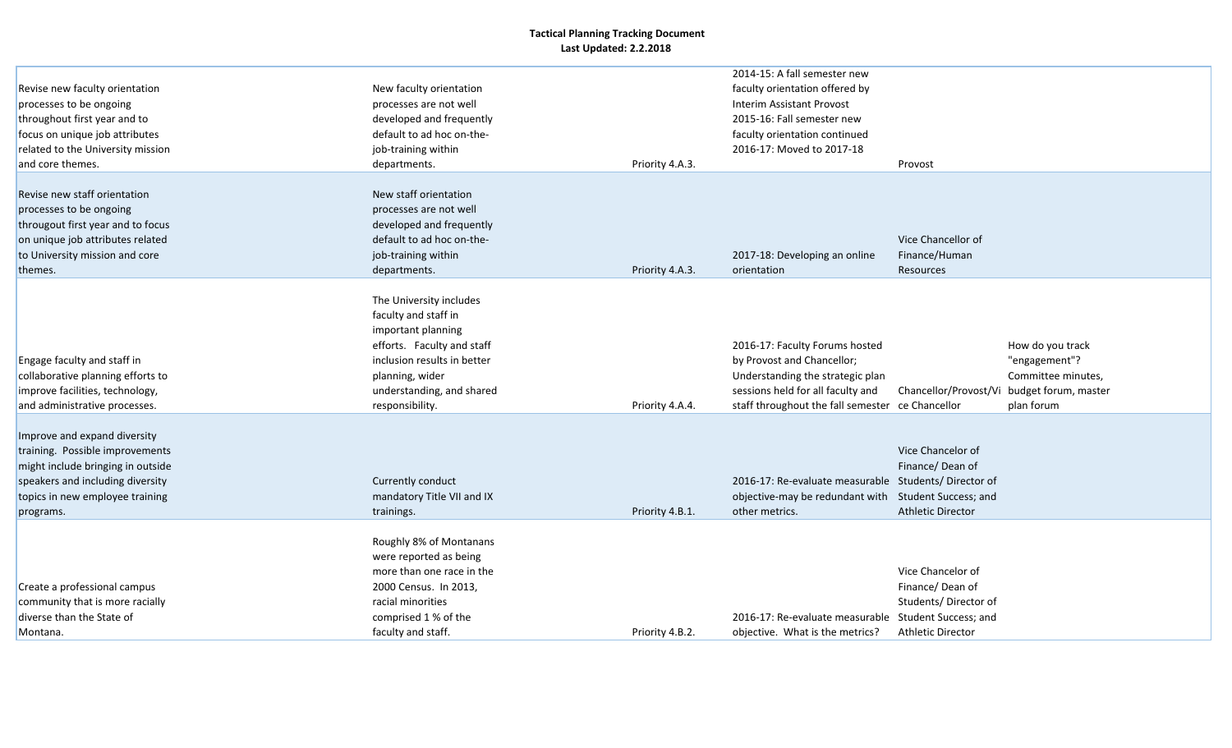|                                   |                             |                 | 2014-15: A fall semester new                         |                          |                      |
|-----------------------------------|-----------------------------|-----------------|------------------------------------------------------|--------------------------|----------------------|
| Revise new faculty orientation    | New faculty orientation     |                 | faculty orientation offered by                       |                          |                      |
| processes to be ongoing           | processes are not well      |                 | Interim Assistant Provost                            |                          |                      |
| throughout first year and to      | developed and frequently    |                 | 2015-16: Fall semester new                           |                          |                      |
| focus on unique job attributes    | default to ad hoc on-the-   |                 | faculty orientation continued                        |                          |                      |
| related to the University mission | job-training within         |                 | 2016-17: Moved to 2017-18                            |                          |                      |
| and core themes.                  | departments.                | Priority 4.A.3. |                                                      | Provost                  |                      |
|                                   |                             |                 |                                                      |                          |                      |
| Revise new staff orientation      | New staff orientation       |                 |                                                      |                          |                      |
| processes to be ongoing           | processes are not well      |                 |                                                      |                          |                      |
| througout first year and to focus | developed and frequently    |                 |                                                      |                          |                      |
| on unique job attributes related  | default to ad hoc on-the-   |                 |                                                      | Vice Chancellor of       |                      |
| to University mission and core    | job-training within         |                 | 2017-18: Developing an online                        | Finance/Human            |                      |
| themes.                           | departments.                | Priority 4.A.3. | orientation                                          | Resources                |                      |
|                                   |                             |                 |                                                      |                          |                      |
|                                   | The University includes     |                 |                                                      |                          |                      |
|                                   | faculty and staff in        |                 |                                                      |                          |                      |
|                                   | important planning          |                 |                                                      |                          |                      |
|                                   | efforts. Faculty and staff  |                 | 2016-17: Faculty Forums hosted                       |                          | How do you track     |
| Engage faculty and staff in       | inclusion results in better |                 | by Provost and Chancellor;                           |                          | "engagement"?        |
| collaborative planning efforts to | planning, wider             |                 | Understanding the strategic plan                     |                          | Committee minutes,   |
| improve facilities, technology,   | understanding, and shared   |                 | sessions held for all faculty and                    | Chancellor/Provost/Vi    | budget forum, master |
| and administrative processes.     | responsibility.             | Priority 4.A.4. | staff throughout the fall semester ce Chancellor     |                          | plan forum           |
|                                   |                             |                 |                                                      |                          |                      |
| Improve and expand diversity      |                             |                 |                                                      |                          |                      |
| training. Possible improvements   |                             |                 |                                                      | Vice Chancelor of        |                      |
| might include bringing in outside |                             |                 |                                                      | Finance/Dean of          |                      |
| speakers and including diversity  | Currently conduct           |                 | 2016-17: Re-evaluate measurable Students/Director of |                          |                      |
| topics in new employee training   | mandatory Title VII and IX  |                 | objective-may be redundant with Student Success; and |                          |                      |
| programs.                         | trainings.                  | Priority 4.B.1. | other metrics.                                       | <b>Athletic Director</b> |                      |
|                                   |                             |                 |                                                      |                          |                      |
|                                   | Roughly 8% of Montanans     |                 |                                                      |                          |                      |
|                                   | were reported as being      |                 |                                                      |                          |                      |
|                                   | more than one race in the   |                 |                                                      | Vice Chancelor of        |                      |
| Create a professional campus      | 2000 Census. In 2013,       |                 |                                                      | Finance/Dean of          |                      |
| community that is more racially   | racial minorities           |                 |                                                      | Students/Director of     |                      |
| diverse than the State of         | comprised 1 % of the        |                 | 2016-17: Re-evaluate measurable Student Success; and |                          |                      |
| Montana.                          | faculty and staff.          | Priority 4.B.2. | objective. What is the metrics?                      | <b>Athletic Director</b> |                      |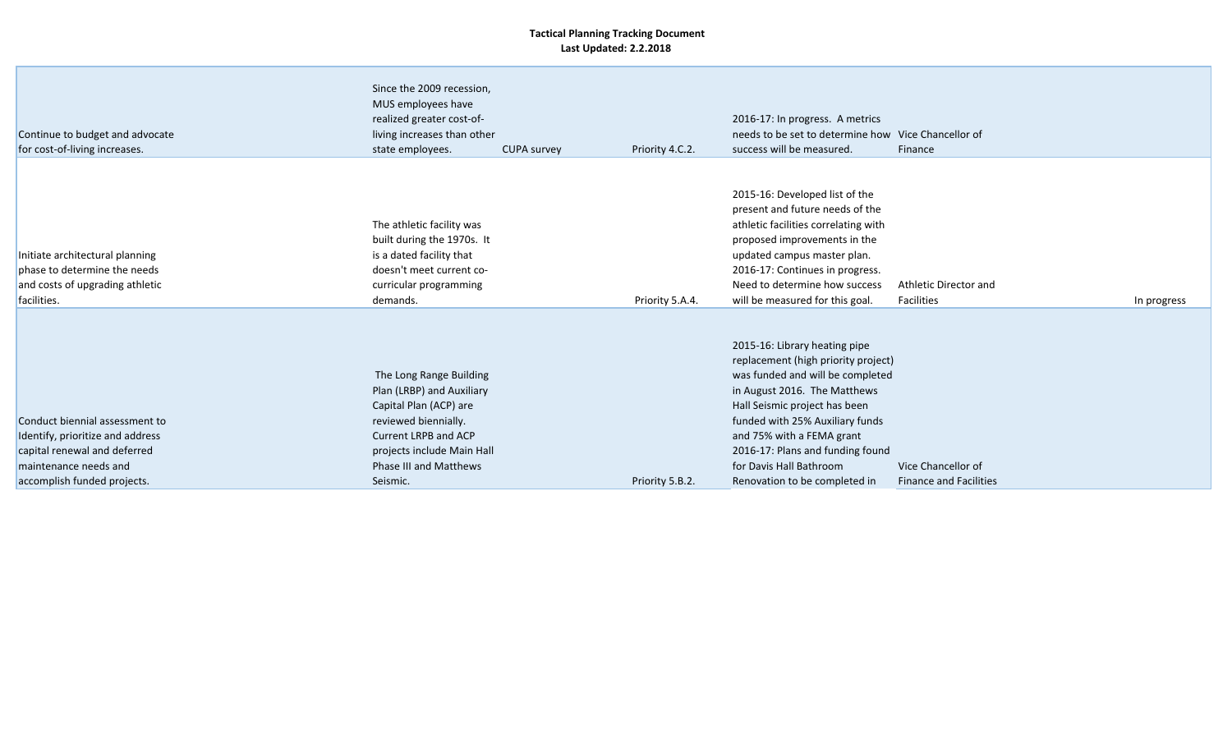| Continue to budget and advocate<br>for cost-of-living increases.                                                                                           | Since the 2009 recession,<br>MUS employees have<br>realized greater cost-of-<br>living increases than other<br>state employees.                                                                    | <b>CUPA survey</b> | Priority 4.C.2. | 2016-17: In progress. A metrics<br>needs to be set to determine how Vice Chancellor of<br>success will be measured.                                                                                                                                                                                                                       | Finance                                             |             |
|------------------------------------------------------------------------------------------------------------------------------------------------------------|----------------------------------------------------------------------------------------------------------------------------------------------------------------------------------------------------|--------------------|-----------------|-------------------------------------------------------------------------------------------------------------------------------------------------------------------------------------------------------------------------------------------------------------------------------------------------------------------------------------------|-----------------------------------------------------|-------------|
| Initiate architectural planning<br>phase to determine the needs<br>and costs of upgrading athletic<br>facilities.                                          | The athletic facility was<br>built during the 1970s. It<br>is a dated facility that<br>doesn't meet current co-<br>curricular programming<br>demands.                                              |                    | Priority 5.A.4. | 2015-16: Developed list of the<br>present and future needs of the<br>athletic facilities correlating with<br>proposed improvements in the<br>updated campus master plan.<br>2016-17: Continues in progress.<br>Need to determine how success<br>will be measured for this goal.                                                           | Athletic Director and<br>Facilities                 | In progress |
| Conduct biennial assessment to<br>Identify, prioritize and address<br>capital renewal and deferred<br>maintenance needs and<br>accomplish funded projects. | The Long Range Building<br>Plan (LRBP) and Auxiliary<br>Capital Plan (ACP) are<br>reviewed biennially.<br>Current LRPB and ACP<br>projects include Main Hall<br>Phase III and Matthews<br>Seismic. |                    | Priority 5.B.2. | 2015-16: Library heating pipe<br>replacement (high priority project)<br>was funded and will be completed<br>in August 2016. The Matthews<br>Hall Seismic project has been<br>funded with 25% Auxiliary funds<br>and 75% with a FEMA grant<br>2016-17: Plans and funding found<br>for Davis Hall Bathroom<br>Renovation to be completed in | Vice Chancellor of<br><b>Finance and Facilities</b> |             |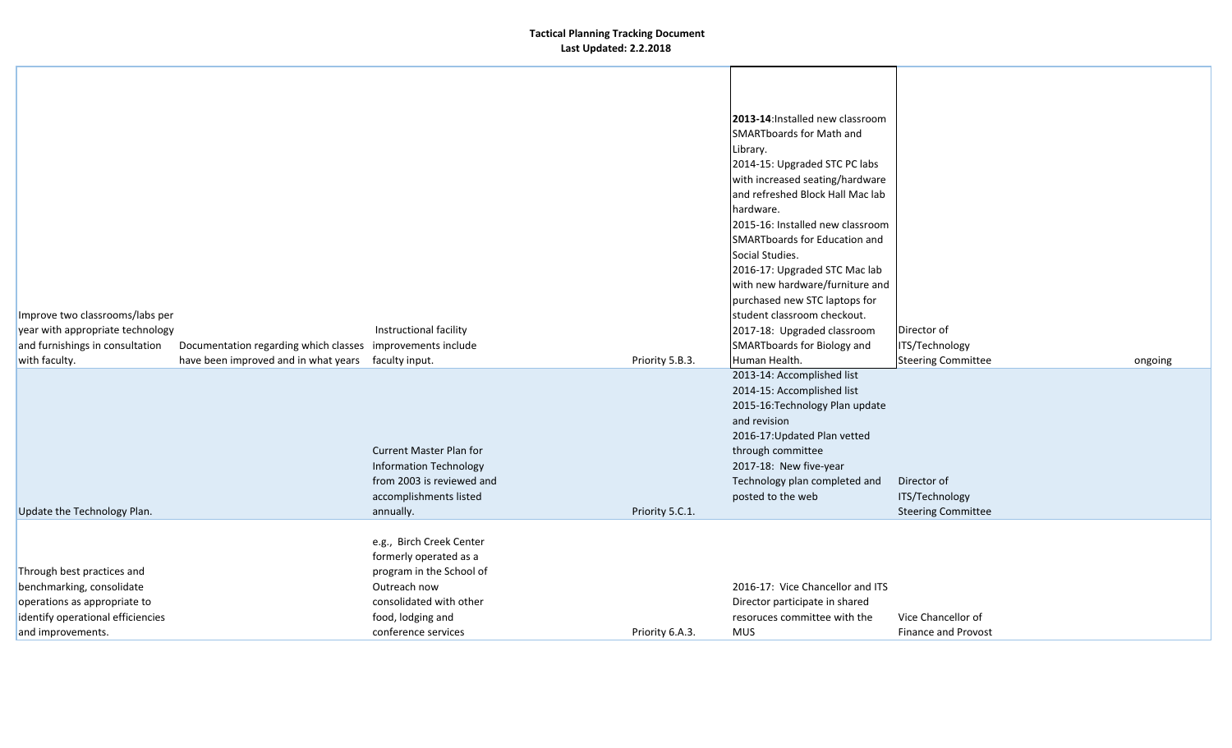| Improve two classrooms/labs per<br>year with appropriate technology<br>and furnishings in consultation                                            | Documentation regarding which classes improvements include | Instructional facility                                                                                                                                                |                 | 2013-14: Installed new classroom<br><b>SMARTboards for Math and</b><br>Library.<br>2014-15: Upgraded STC PC labs<br>with increased seating/hardware<br>and refreshed Block Hall Mac lab<br>hardware.<br>2015-16: Installed new classroom<br>SMARTboards for Education and<br>Social Studies.<br>2016-17: Upgraded STC Mac lab<br>with new hardware/furniture and<br>purchased new STC laptops for<br>student classroom checkout.<br>2017-18: Upgraded classroom<br>SMARTboards for Biology and | Director of<br>ITS/Technology                              |         |
|---------------------------------------------------------------------------------------------------------------------------------------------------|------------------------------------------------------------|-----------------------------------------------------------------------------------------------------------------------------------------------------------------------|-----------------|------------------------------------------------------------------------------------------------------------------------------------------------------------------------------------------------------------------------------------------------------------------------------------------------------------------------------------------------------------------------------------------------------------------------------------------------------------------------------------------------|------------------------------------------------------------|---------|
| with faculty.                                                                                                                                     | have been improved and in what years                       | faculty input.                                                                                                                                                        | Priority 5.B.3. | Human Health.                                                                                                                                                                                                                                                                                                                                                                                                                                                                                  | <b>Steering Committee</b>                                  | ongoing |
| Update the Technology Plan.                                                                                                                       |                                                            | <b>Current Master Plan for</b><br><b>Information Technology</b><br>from 2003 is reviewed and<br>accomplishments listed<br>annually.                                   | Priority 5.C.1. | 2013-14: Accomplished list<br>2014-15: Accomplished list<br>2015-16: Technology Plan update<br>and revision<br>2016-17: Updated Plan vetted<br>through committee<br>2017-18: New five-year<br>Technology plan completed and<br>posted to the web                                                                                                                                                                                                                                               | Director of<br>ITS/Technology<br><b>Steering Committee</b> |         |
| Through best practices and<br>benchmarking, consolidate<br>operations as appropriate to<br>identify operational efficiencies<br>and improvements. |                                                            | e.g., Birch Creek Center<br>formerly operated as a<br>program in the School of<br>Outreach now<br>consolidated with other<br>food, lodging and<br>conference services | Priority 6.A.3. | 2016-17: Vice Chancellor and ITS<br>Director participate in shared<br>resoruces committee with the<br><b>MUS</b>                                                                                                                                                                                                                                                                                                                                                                               | Vice Chancellor of<br><b>Finance and Provost</b>           |         |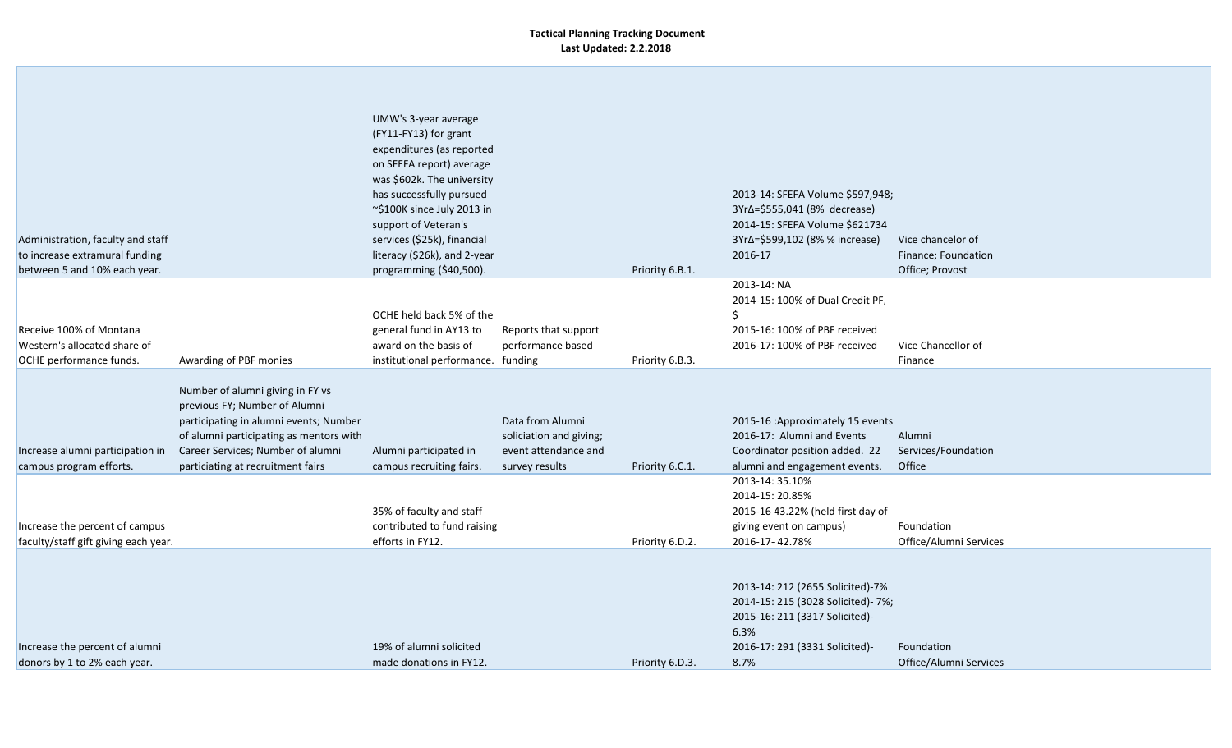| Administration, faculty and staff<br>to increase extramural funding<br>between 5 and 10% each year. |                                                                                                                                                                                                                                  | UMW's 3-year average<br>(FY11-FY13) for grant<br>expenditures (as reported<br>on SFEFA report) average<br>was \$602k. The university<br>has successfully pursued<br>~\$100K since July 2013 in<br>support of Veteran's<br>services (\$25k), financial<br>literacy (\$26k), and 2-year<br>programming (\$40,500). |                                                                                       | Priority 6.B.1. | 2013-14: SFEFA Volume \$597,948;<br>3Yr∆=\$555,041 (8% decrease)<br>2014-15: SFEFA Volume \$621734<br>3Yr∆=\$599,102 (8% % increase)<br>2016-17            | Vice chancelor of<br>Finance; Foundation<br>Office; Provost |
|-----------------------------------------------------------------------------------------------------|----------------------------------------------------------------------------------------------------------------------------------------------------------------------------------------------------------------------------------|------------------------------------------------------------------------------------------------------------------------------------------------------------------------------------------------------------------------------------------------------------------------------------------------------------------|---------------------------------------------------------------------------------------|-----------------|------------------------------------------------------------------------------------------------------------------------------------------------------------|-------------------------------------------------------------|
| Receive 100% of Montana<br>Western's allocated share of<br>OCHE performance funds.                  | Awarding of PBF monies                                                                                                                                                                                                           | OCHE held back 5% of the<br>general fund in AY13 to<br>award on the basis of<br>institutional performance. funding                                                                                                                                                                                               | Reports that support<br>performance based                                             | Priority 6.B.3. | 2013-14: NA<br>2014-15: 100% of Dual Credit PF,<br><b>S</b><br>2015-16: 100% of PBF received<br>2016-17: 100% of PBF received                              | Vice Chancellor of<br>Finance                               |
| Increase alumni participation in<br>campus program efforts.                                         | Number of alumni giving in FY vs<br>previous FY; Number of Alumni<br>participating in alumni events; Number<br>of alumni participating as mentors with<br>Career Services; Number of alumni<br>particiating at recruitment fairs | Alumni participated in<br>campus recruiting fairs.                                                                                                                                                                                                                                                               | Data from Alumni<br>soliciation and giving;<br>event attendance and<br>survey results | Priority 6.C.1. | 2015-16 : Approximately 15 events<br>2016-17: Alumni and Events<br>Coordinator position added. 22<br>alumni and engagement events.                         | Alumni<br>Services/Foundation<br>Office                     |
| Increase the percent of campus<br>faculty/staff gift giving each year.                              |                                                                                                                                                                                                                                  | 35% of faculty and staff<br>contributed to fund raising<br>efforts in FY12.                                                                                                                                                                                                                                      |                                                                                       | Priority 6.D.2. | 2013-14: 35.10%<br>2014-15: 20.85%<br>2015-16 43.22% (held first day of<br>giving event on campus)<br>2016-17-42.78%                                       | Foundation<br>Office/Alumni Services                        |
| Increase the percent of alumni<br>donors by 1 to 2% each year.                                      |                                                                                                                                                                                                                                  | 19% of alumni solicited<br>made donations in FY12.                                                                                                                                                                                                                                                               |                                                                                       | Priority 6.D.3. | 2013-14: 212 (2655 Solicited)-7%<br>2014-15: 215 (3028 Solicited)- 7%;<br>2015-16: 211 (3317 Solicited)-<br>6.3%<br>2016-17: 291 (3331 Solicited)-<br>8.7% | Foundation<br>Office/Alumni Services                        |